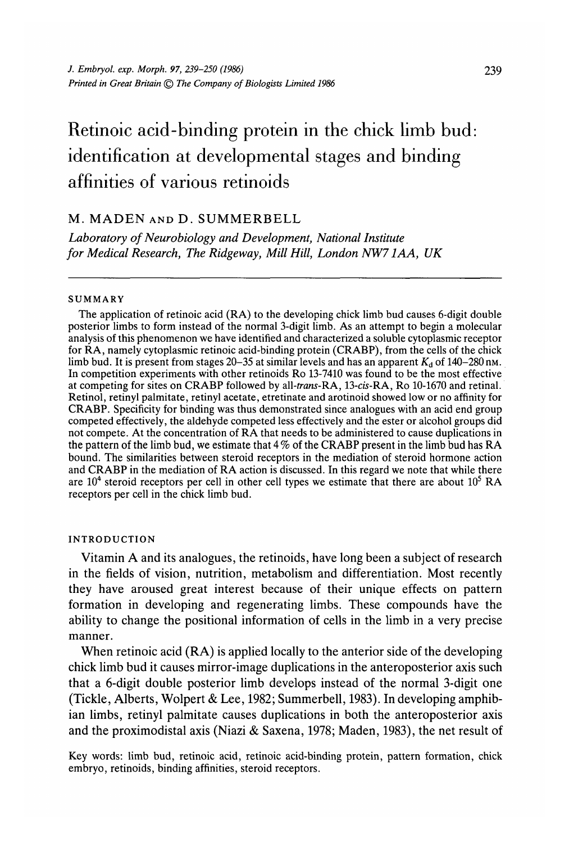# Retinoic acid-binding protein in the chick limb bud: identification at developmental stages and binding affinities of various retinoids

## M. MADEN AND D. SUMMERBELL

*Laboratory of Neurobiology and Development, National Institute for Medical Research, The Ridgeway, Mill Hill, London NW71AA, UK*

#### SUMMARY

The application of retinoic acid (RA) to the developing chick limb bud causes 6-digit double posterior limbs to form instead of the normal 3-digit limb. As an attempt to begin a molecular analysis of this phenomenon we have identified and characterized a soluble cytoplasmic receptor for RA, namely cytoplasmic retinoic acid-binding protein (CRABP), from the cells of the chick limb bud. It is present from stages  $20-35$  at similar levels and has an apparent  $K_d$  of  $140-280$  nm. In competition experiments with other retinoids Ro 13-7410 was found to be the most effective at competing for sites on CRABP followed by all-*trans*-RA, 13-cis-RA, Ro 10-1670 and retinal. Retinol, retinyl palmitate, retinyl acetate, etretinate and arotinoid showed low or no affinity for CRABP. Specificity for binding was thus demonstrated since analogues with an acid end group competed effectively, the aldehyde competed less effectively and the ester or alcohol groups did not compete. At the concentration of RA that needs to be administered to cause duplications in the pattern of the limb bud, we estimate that 4 % of the CRABP present in the limb bud has RA bound. The similarities between steroid receptors in the mediation of steroid hormone action and CRABP in the mediation of RA action is discussed. In this regard we note that while there are  $10^4$  steroid receptors per cell in other cell types we estimate that there are about  $10^5$  RA receptors per cell in the chick limb bud.

## INTRODUCTION

Vitamin A and its analogues, the retinoids, have long been a subject of research in the fields of vision, nutrition, metabolism and differentiation. Most recently they have aroused great interest because of their unique effects on pattern formation in developing and regenerating limbs. These compounds have the ability to change the positional information of cells in the limb in a very precise manner.

When retinoic acid (RA) is applied locally to the anterior side of the developing chick limb bud it causes mirror-image duplications in the anteroposterior axis such that a 6-digit double posterior limb develops instead of the normal 3-digit one (Tickle, Alberts, Wolpert & Lee, 1982; Summerbell, 1983). In developing amphibian limbs, retinyl palmitate causes duplications in both the anteroposterior axis and the proximodistal axis (Niazi & Saxena, 1978; Maden, 1983), the net result of

Key words: limb bud, retinoic acid, retinoic acid-binding protein, pattern formation, chick embryo, retinoids, binding affinities, steroid receptors.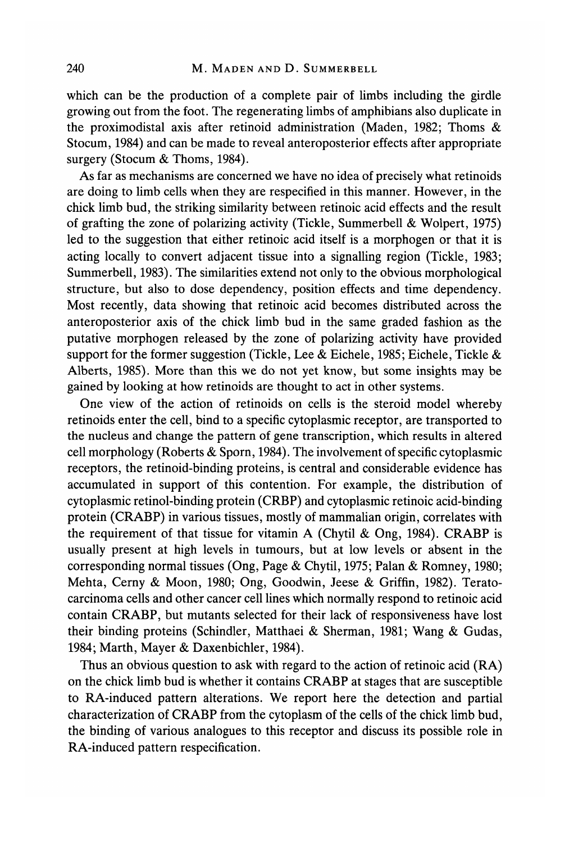which can be the production of a complete pair of limbs including the girdle growing out from the foot. The regenerating limbs of amphibians also duplicate in the proximodistal axis after retinoid administration (Maden, 1982; Thoms  $\&$ Stocum, 1984) and can be made to reveal anteroposterior effects after appropriate surgery (Stocum & Thoms, 1984).

As far as mechanisms are concerned we have no idea of precisely what retinoids are doing to limb cells when they are respecified in this manner. However, in the chick limb bud, the striking similarity between retinoic acid effects and the result of grafting the zone of polarizing activity (Tickle, Summerbell & Wolpert, 1975) led to the suggestion that either retinoic acid itself is a morphogen or that it is acting locally to convert adjacent tissue into a signalling region (Tickle, 1983; Summerbell, 1983). The similarities extend not only to the obvious morphological structure, but also to dose dependency, position effects and time dependency. Most recently, data showing that retinoic acid becomes distributed across the anteroposterior axis of the chick limb bud in the same graded fashion as the putative morphogen released by the zone of polarizing activity have provided support for the former suggestion (Tickle, Lee & Eichele, 1985; Eichele, Tickle & Alberts, 1985). More than this we do not yet know, but some insights may be gained by looking at how retinoids are thought to act in other systems.

One view of the action of retinoids on cells is the steroid model whereby retinoids enter the cell, bind to a specific cytoplasmic receptor, are transported to the nucleus and change the pattern of gene transcription, which results in altered cell morphology (Roberts & Sporn, 1984). The involvement of specific cytoplasmic receptors, the retinoid-binding proteins, is central and considerable evidence has accumulated in support of this contention. For example, the distribution of cytoplasmic retinol-binding protein (CRBP) and cytoplasmic retinoic acid-binding protein (CRABP) in various tissues, mostly of mammalian origin, correlates with the requirement of that tissue for vitamin A (Chytil  $\&$  Ong, 1984). CRABP is usually present at high levels in tumours, but at low levels or absent in the corresponding normal tissues (Ong, Page & Chytil, 1975; Palan & Romney, 1980; Mehta, Cerny & Moon, 1980; Ong, Goodwin, Jeese & Griffin, 1982). Teratocarcinoma cells and other cancer cell lines which normally respond to retinoic acid contain CRABP, but mutants selected for their lack of responsiveness have lost their binding proteins (Schindler, Matthaei & Sherman, 1981; Wang & Gudas, 1984; Marth, Mayer & Daxenbichler, 1984).

Thus an obvious question to ask with regard to the action of retinoic acid (RA) on the chick limb bud is whether it contains CRABP at stages that are susceptible to RA-induced pattern alterations. We report here the detection and partial characterization of CRABP from the cytoplasm of the cells of the chick limb bud, the binding of various analogues to this receptor and discuss its possible role in RA-induced pattern respecification.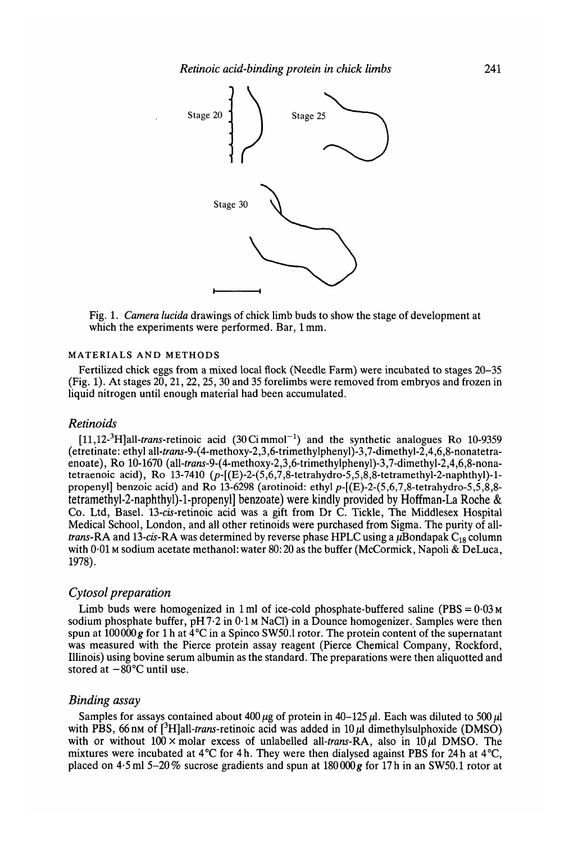

Fig. 1. *Camera lucida* drawings of chick limb buds to show the stage of development at which the experiments were performed. Bar, 1 mm.

#### MATERIALS AND METHODS

Fertilized chick eggs from a mixed local flock (Needle Farm) were incubated to stages 20-35 (Fig. 1). At stages 20, 21, 22, 25, 30 and 35 forelimbs were removed from embryos and frozen in liquid nitrogen until enough material had been accumulated.

## *Retinoids*

[11,12<sup>-3</sup>H]all-*trans*-retinoic acid (30 Cimmol<sup>-1</sup>) and the synthetic analogues Ro 10-9359 (etretinate: ethyl all-trans-9-(4-methoxy-2,3,6-trimethylphenyl)-3,7-dimethyl-2,4,6,8-nonatetraenoate), Ro 10-1670 (all-trans-9-(4-methoxy-2,3,6-trimethylphenyl)-3,7-dimethyl-2,4,6,8-nonatetraenoic acid), Ro 13-7410 ( $p$ -[(E)-2-(5,6,7,8-tetrahydro-5,5,8,8-tetramethyl-2-naphthyl)-1propenyl] benzoic acid) and Ro 13-6298 (arotinoid: ethyl *p-[(E)-2-(5,*6,7,8-tetrahydro-5,5,8,8 **tetrametnyl-2-naphthyl)-l-propenyl] benzoate) were kindly provided by Hoffman-La Roche &** Co. Ltd, Basel. 13-ds-retinoic acid was a gift from Dr C. Tickle, The Middlesex Hospital Medical School, London, and all other retinoids were purchased from Sigma. The purity of all*trans-RA* and 13-cis-RA was determined by reverse phase HPLC using a  $\mu$ Bondapak C<sub>18</sub> column with 0.01 M sodium acetate methanol: water 80:20 as the buffer (McCormick, Napoli & DeLuca, 1978).

## *Cytosol preparation*

Limb buds were homogenized in 1 ml of ice-cold phosphate-buffered saline  $(PBS = 0.03 \text{ m})$ sodium phosphate buffer,  $pH7-2$  in  $0.1 \text{M NaCl}$  in a Dounce homogenizer. Samples were then spun at 100000 g for 1 h at  $4^{\circ}$ C in a Spinco SW50.1 rotor. The protein content of the supernatant was measured with the Pierce protein assay reagent (Pierce Chemical Company, Rockford, Illinois) using bovine serum albumin as the standard. The preparations were then aliquotted and stored at  $-80^{\circ}$ C until use.

#### *Binding assay*

Samples for assays contained about 400  $\mu$ g of protein in 40-125  $\mu$ l. Each was diluted to 500  $\mu$ l with PBS, 66 nm of  $[3H]$ all-trans-retinoic acid was added in 10  $\mu$ l dimethylsulphoxide (DMSO) with or without  $100 \times$  molar excess of unlabelled all-*trans*-RA, also in  $10 \mu$ l DMSO. The mixtures were incubated at 4°C for 4h. They were then dialysed against PBS for 24h at 4°C, placed on 4-5 ml 5-20% sucrose gradients and spun at 180 000*g* for 17 h in an SW50.1 rotor at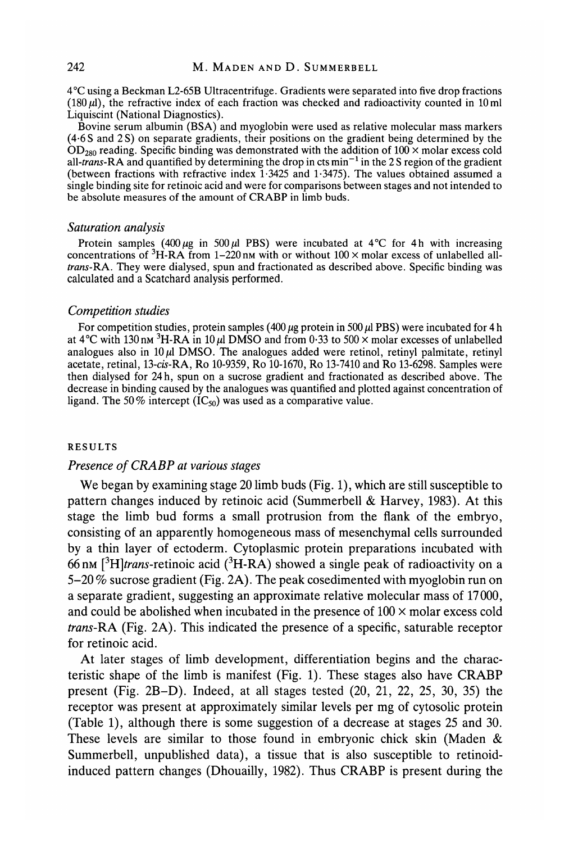4°C using a Beckman L2-65B Ultracentrifuge. Gradients were separated into five drop fractions  $(180 \,\mu)$ , the refractive index of each fraction was checked and radioactivity counted in 10 ml Liquiscint (National Diagnostics).

Bovine serum albumin (BSA) and myoglobin were used as relative molecular mass markers (4-6 S and 2S) on separate gradients, their positions on the gradient being determined by the  $OD_{280}$  reading. Specific binding was demonstrated with the addition of 100  $\times$  molar excess cold all-*trans*-RA and quantified by determining the drop in cts min<sup>-1</sup> in the 2S region of the gradient (between fractions with refractive index  $1.3425$  and  $1.3475$ ). The values obtained assumed a single binding site for retinoic acid and were for comparisons between stages and not intended to be absolute measures of the amount of CRABP in limb buds.

#### *Saturation analysis*

Protein samples (400  $\mu$ g in 500  $\mu$ l PBS) were incubated at 4°C for 4h with increasing concentrations of <sup>3</sup>H-RA from 1-220 nm with or without 100  $\times$  molar excess of unlabelled all*trans-KA.* They were dialysed, spun and fractionated as described above. Specific binding was calculated and a Scatchard analysis performed.

#### *Competition studies*

For competition studies, protein samples (400  $\mu$ g protein in 500  $\mu$ l PBS) were incubated for 4 h at  $4^{\circ}$ C with 130 nm <sup>3</sup>H-RA in 10 *ul* DMSO and from 0.33 to 500  $\times$  molar excesses of unlabelled analogues also in  $10 \mu l$  DMSO. The analogues added were retinol, retinyl palmitate, retinyl acetate, retinal, 13-cw-RA, Ro 10-9359, Ro 10-1670, Ro 13-7410 and Ro 13-6298. Samples were then dialysed for 24 h, spun on a sucrose gradient and fractionated as described above. The decrease in binding caused by the analogues was quantified and plotted against concentration of ligand. The 50% intercept  $(IC_{50})$  was used as a comparative value.

#### RESULTS

## *Presence of CRABP at various stages*

We began by examining stage 20 limb buds (Fig. 1), which are still susceptible to pattern changes induced by retinoic acid (Summerbell & Harvey, 1983). At this stage the limb bud forms a small protrusion from the flank of the embryo, consisting of an apparently homogeneous mass of mesenchymal cells surrounded by a thin layer of ectoderm. Cytoplasmic protein preparations incubated with 66 nm  $[3H]$ *trans*-retinoic acid ( $3H$ -RA) showed a single peak of radioactivity on a 5-20 % sucrose gradient (Fig. 2A). The peak cosedimented with myoglobin run on a separate gradient, suggesting an approximate relative molecular mass of 17000, and could be abolished when incubated in the presence of  $100 \times$  molar excess cold *trans-RA* (Fig. 2A). This indicated the presence of a specific, saturable receptor for retinoic acid.

At later stages of limb development, differentiation begins and the characteristic shape of the limb is manifest (Fig. 1). These stages also have CRABP present (Fig. 2B-D). Indeed, at all stages tested (20, 21, 22, 25, 30, 35) the receptor was present at approximately similar levels per mg of cytosolic protein (Table 1), although there is some suggestion of a decrease at stages 25 and 30. These levels are similar to those found in embryonic chick skin (Maden & Summerbell, unpublished data), a tissue that is also susceptible to retinoidinduced pattern changes (Dhouailly, 1982). Thus CRABP is present during the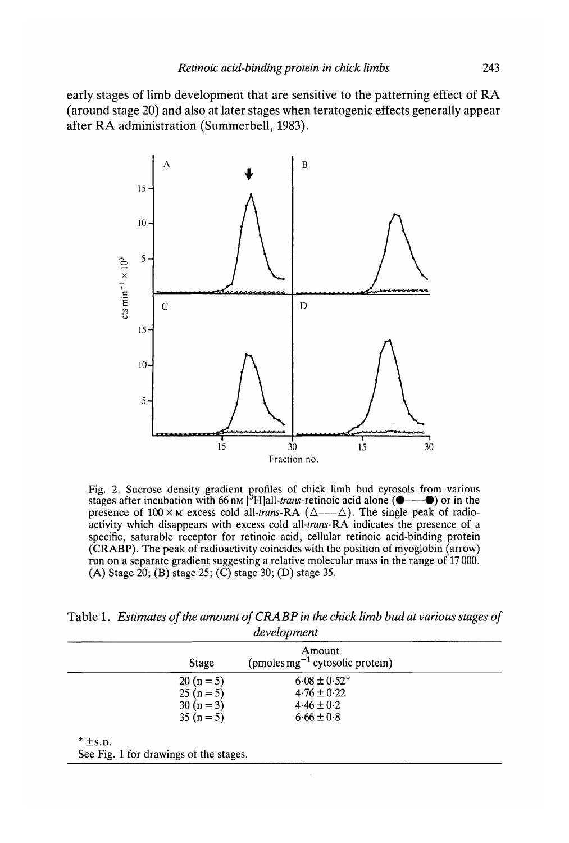early stages of limb development that are sensitive to the patterning effect of RA (around stage 20) and also at later stages when teratogenic effects generally appear after RA administration (Summerbell, 1983).



Fig. 2. Sucrose density gradient profiles of chick limb bud cytosols from various stages after incubation with 66 nm  $[^3H]$ all-*trans*-retinoic acid alone ( $\bullet$ — $\bullet$ ) or in the presence of  $100 \times M$  excess cold all-*trans-RA* ( $\triangle$ -- $\triangle$ ). The single peak of radioactivity which disappears with excess cold *a\l-trans-RA* indicates the presence of a specific, saturable receptor for retinoic acid, cellular retinoic acid-binding protein (CRABP). The peak of radioactivity coincides with the position of myoglobin (arrow) run on a separate gradient suggesting a relative molecular mass in the range of 17 000. (A) Stage 20; (B) stage 25; ( $\overline{C}$ ) stage 30; (D) stage 35.

Table 1. *Estimates of the amount of CRABP in the chick limb bud at various stages of development*

| Stage                                                       | Amount<br>(pmoles mg <sup>-1</sup> cytosolic protein)                   |  |
|-------------------------------------------------------------|-------------------------------------------------------------------------|--|
| $20 (n = 5)$<br>$25(n=5)$<br>$30 (n = 3)$<br>35 ( $n = 5$ ) | $6.08 \pm 0.52*$<br>$4.76 \pm 0.22$<br>$4.46 \pm 0.2$<br>$6.66 \pm 0.8$ |  |
| $*$ $\pm$ s.p.<br>See Fig. 1 for drawings of the stages.    |                                                                         |  |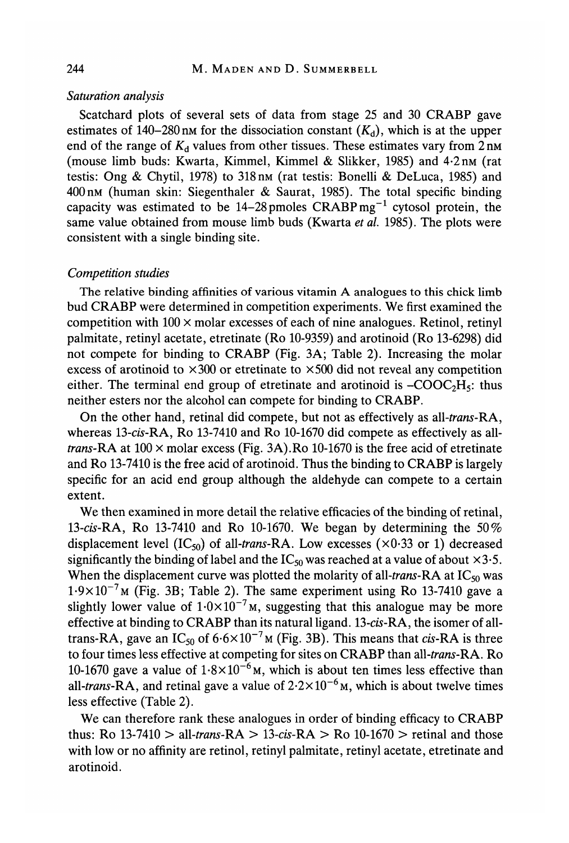## *Saturation analysis*

Scatchard plots of several sets of data from stage 25 and 30 CRABP gave estimates of 140–280 nm for the dissociation constant  $(K_d)$ , which is at the upper end of the range of  $K_d$  values from other tissues. These estimates vary from  $2 \text{ nm}$ (mouse limb buds: Kwarta, Kimmel, Kimmel & Slikker, 1985) and  $4.2 \text{ nm}$  (rat testis: Ong & Chytil, 1978) to 318 nm (rat testis: Bonelli & DeLuca, 1985) and  $400 \text{ nm}$  (human skin: Siegenthaler & Saurat, 1985). The total specific binding capacity was estimated to be  $14-28$  pmoles CRABP mg<sup>-1</sup> cytosol protein, the same value obtained from mouse limb buds (Kwarta *et al.* 1985). The plots were consistent with a single binding site.

## *Competition studies*

The relative binding affinities of various vitamin A analogues to this chick limb bud CRABP were determined in competition experiments. We first examined the competition with  $100 \times$  molar excesses of each of nine analogues. Retinol, retinyl palmitate, retinyl acetate, etretinate (Ro 10-9359) and arotinoid (Ro 13-6298) did not compete for binding to CRABP (Fig. 3A; Table 2). Increasing the molar excess of arotinoid to  $\times 300$  or etretinate to  $\times 500$  did not reveal any competition either. The terminal end group of etretinate and arotinoid is  $-COOC<sub>2</sub>H<sub>5</sub>$ : thus neither esters nor the alcohol can compete for binding to CRABP.

On the other hand, retinal did compete, but not as effectively as *a\\-trans-RA,* whereas 13-cis-RA, Ro 13-7410 and Ro 10-1670 did compete as effectively as all*trans-RA* at  $100 \times$  molar excess (Fig. 3A). Ro 10-1670 is the free acid of etretinate and Ro 13-7410 is the free acid of arotinoid. Thus the binding to CRABP is largely specific for an acid end group although the aldehyde can compete to a certain extent.

We then examined in more detail the relative efficacies of the binding of retinal, 13-cis-RA, Ro 13-7410 and Ro 10-1670. We began by determining the  $50\%$ displacement level  $(IC_{50})$  of all-*trans-RA*. Low excesses ( $\times$ 0.33 or 1) decreased significantly the binding of label and the  $IC_{50}$  was reached at a value of about  $\times 3.5$ . When the displacement curve was plotted the molarity of all-*trans*-RA at  $IC_{50}$  was  $1.9\times10^{-7}$ M (Fig. 3B; Table 2). The same experiment using Ro 13-7410 gave a slightly lower value of  $1.0 \times 10^{-7}$  M, suggesting that this analogue may be more effective at binding to CRABP than its natural ligand. 13-cis-RA, the isomer of alltrans-RA, gave an IC<sub>50</sub> of 6·6×10<sup>-7</sup> M (Fig. 3B). This means that *cis*-RA is three to four times less effective at competing for sites on CRABP than *a\\-trans-RA.* Ro 10-1670 gave a value of  $1.8 \times 10^{-6}$  M, which is about ten times less effective than all-*trans*-RA, and retinal gave a value of  $2.2 \times 10^{-6}$  m, which is about twelve times less effective (Table 2).

We can therefore rank these analogues in order of binding efficacy to CRABP thus: Ro  $13-7410 >$  all-*trans-RA > 13-cis-RA > Ro 10-1670 > retinal and those* with low or no affinity are retinol, retinyl palmitate, retinyl acetate, etretinate and arotinoid.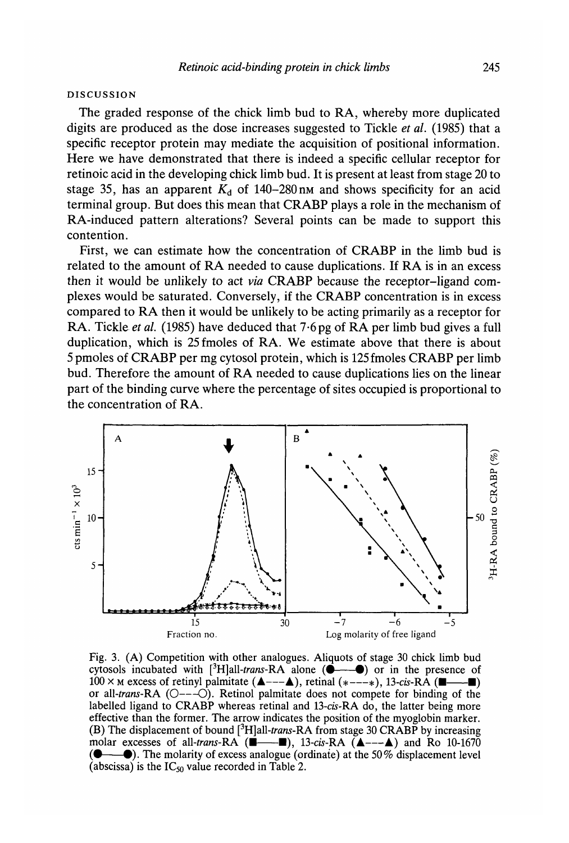#### DISCUSSION

The graded response of the chick limb bud to RA, whereby more duplicated digits are produced as the dose increases suggested to Tickle *et al.* (1985) that a specific receptor protein may mediate the acquisition of positional information. Here we have demonstrated that there is indeed a specific cellular receptor for retinoic acid in the developing chick limb bud. It is present at least from stage 20 to stage 35, has an apparent  $K_d$  of 140-280 nm and shows specificity for an acid terminal group. But does this mean that CRABP plays a role in the mechanism of RA-induced pattern alterations? Several points can be made to support this contention.

First, we can estimate how the concentration of CRABP in the limb bud is related to the amount of RA needed to cause duplications. If RA is in an excess then it would be unlikely to act *via* CRABP because the receptor-ligand complexes would be saturated. Conversely, if the CRABP concentration is in excess compared to RA then it would be unlikely to be acting primarily as a receptor for RA. Tickle *et al.* (1985) have deduced that 7-6 pg of RA per limb bud gives a full duplication, which is 25 fmoles of RA. We estimate above that there is about 5pmoles of CRABP per mg cytosol protein, which is 125fmoles CRABP per limb bud. Therefore the amount of RA needed to cause duplications lies on the linear part of the binding curve where the percentage of sites occupied is proportional to the concentration of RA.



Fig. 3. (A) Competition with other analogues. Aliquots of stage 30 chick limb bud cytosols incubated with  $[{}^3H]$ all-trans-RA alone  $(\bullet \rightarrow \bullet)$  or in the presence of  $100 \times M$  excess of retinyl palmitate ( $\blacktriangle$ --- $\blacktriangle$ ), retinal (\*---\*), 13-cis-RA ( $\blacksquare$ - $\blacksquare$ ) or all-*trans*-RA  $(O---O)$ . Retinol palmitate does not compete for binding of the labelled ligand to CRABP whereas retinal and 13-cis-RA do, the latter being more effective than the former. The arrow indicates the position of the myoglobin marker. (B) The displacement of bound  $[^3H]$ all-trans-RA from stage 30 CRABP by increasing molar excesses of all-trans-RA  $(\blacksquare \longrightarrow \blacksquare)$ , 13-cis-RA  $(\blacktriangle - - \blacktriangle)$  and Ro 10-1670  $($   $\bullet$   $\bullet$   $\bullet$   $\bullet$ ). The molarity of excess analogue (ordinate) at the 50% displacement level (abscissa) is the  $IC_{50}$  value recorded in Table 2.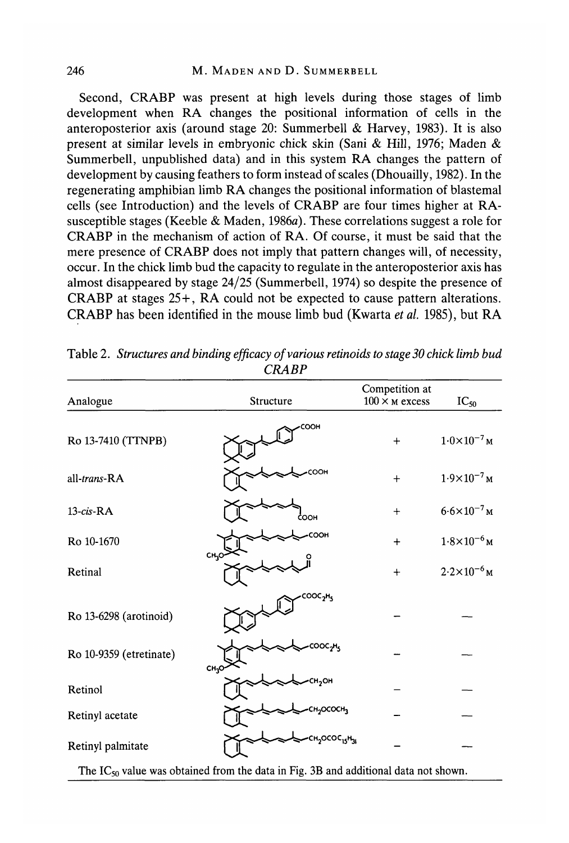Second, CRABP was present at high levels during those stages of limb development when RA changes the positional information of cells in the anteroposterior axis (around stage 20: Summerbell & Harvey, 1983). It is also present at similar levels in embryonic chick skin (Sani & Hill, 1976; Maden & Summerbell, unpublished data) and in this system RA changes the pattern of development by causing feathers to form instead of scales (Dhouailly, 1982). In the regenerating amphibian limb RA changes the positional information of blastemal cells (see Introduction) and the levels of CRABP are four times higher at RAsusceptible stages (Keeble & Maden, 1986a). These correlations suggest a role for CRABP in the mechanism of action of RA. Of course, it must be said that the mere presence of CRABP does not imply that pattern changes will, of necessity, occur. In the chick limb bud the capacity to regulate in the anteroposterior axis has almost disappeared by stage 24/25 (Summerbell, 1974) so despite the presence of CRABP at stages 25+, RA could not be expected to cause pattern alterations. CRABP has been identified in the mouse limb bud (Kwarta *et al.* 1985), but RA

| Analogue                | Structure                                          | Competition at<br>$100 \times$ м excess | $IC_{50}$              |
|-------------------------|----------------------------------------------------|-----------------------------------------|------------------------|
| Ro 13-7410 (TTNPB)      | соон                                               | $+$                                     | $1.0\times10^{-7}$ M   |
| all-trans-RA            | COOH                                               | $+$                                     | $1.9 \times 10^{-7}$ M |
| $13$ -cis-RA            | соон                                               | $\ddot{}$                               | $6.6 \times 10^{-7}$ M |
| Ro 10-1670              | COOH<br>CHO                                        | $\ddot{}$                               | $1.8 \times 10^{-6}$ M |
| Retinal                 |                                                    | $+$                                     | $2.2 \times 10^{-6}$ M |
| Ro 13-6298 (arotinoid)  | COOC <sub>2</sub> H5                               |                                         |                        |
| Ro 10-9359 (etretinate) | ϹϘϘϹϧͰͿϛ<br>CH <sub>3</sub> O                      |                                         |                        |
| Retinol                 | <b>CH<sub>2</sub>OH</b>                            |                                         |                        |
| Retinyl acetate         | <b>Н<sub>2</sub>ОСОСН<sub>1</sub></b>              |                                         |                        |
| Retinyl palmitate       | CH <sub>2</sub> OCOC <sub>15</sub> H <sub>31</sub> |                                         |                        |

Table 2. *Structures and binding efficacy of various retinoids to stage 30 chick limb bud CRABP*

The  $IC_{50}$  value was obtained from the data in Fig. 3B and additional data not shown.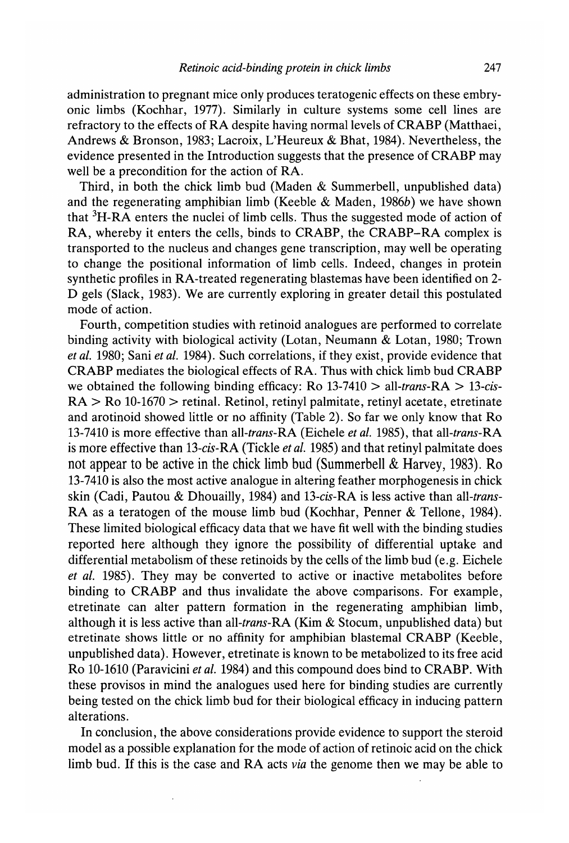administration to pregnant mice only produces teratogenic effects on these embryonic limbs (Kochhar, 1977). Similarly in culture systems some cell lines are refractory to the effects of RA despite having normal levels of CRABP (Matthaei, Andrews & Bronson, 1983; Lacroix, L'Heureux & Bhat, 1984). Nevertheless, the evidence presented in the Introduction suggests that the presence of CRABP may well be a precondition for the action of RA.

Third, in both the chick limb bud (Maden & Summerbell, unpublished data) and the regenerating amphibian limb (Keeble  $\&$  Maden, 1986b) we have shown that  ${}^{3}$ H-RA enters the nuclei of limb cells. Thus the suggested mode of action of RA, whereby it enters the cells, binds to CRABP, the CRABP-RA complex is transported to the nucleus and changes gene transcription, may well be operating to change the positional information of limb cells. Indeed, changes in protein synthetic profiles in RA-treated regenerating blastemas have been identified on 2- D gels (Slack, 1983). We are currently exploring in greater detail this postulated mode of action.

Fourth, competition studies with retinoid analogues are performed to correlate binding activity with biological activity (Lotan, Neumann & Lotan, 1980; Trown *etal.* 1980; Sani *etal.* 1984). Such correlations, if they exist, provide evidence that CRABP mediates the biological effects of RA. Thus with chick limb bud CRABP we obtained the following binding efficacy: Ro 13-7410 > all-*trans-RA* > 13-cis- $RA > Ro$  10-1670 > retinal. Retinol, retinyl palmitate, retinyl acetate, etretinate and arotinoid showed little or no affinity (Table 2). So far we only know that Ro 13-7410 is more effective than *a\\-trans-RA* (Eichele *et al.* 1985), that *a\\-trans-RA* is more effective than 13-cis-RA (Tickle *et al.* 1985) and that retinyl palmitate does not appear to be active in the chick limb bud (Summerbell & Harvey, 1983). Ro 13-7410 is also the most active analogue in altering feather morphogenesis in chick skin (Cadi, Pautou & Dhouailly, 1984) and 13-cis-RA is less active than all-*trans*-RA as a teratogen of the mouse limb bud (Kochhar, Penner & Tellone, 1984). These limited biological efficacy data that we have fit well with the binding studies reported here although they ignore the possibility of differential uptake and differential metabolism of these retinoids by the cells of the limb bud (e.g. Eichele *et al.* 1985). They may be converted to active or inactive metabolites before binding to CRABP and thus invalidate the above comparisons. For example, etretinate can alter pattern formation in the regenerating amphibian limb, although it is less active than all-trans-RA (Kim & Stocum, unpublished data) but etretinate shows little or no affinity for amphibian blastemal CRABP (Keeble, unpublished data). However, etretinate is known to be metabolized to its free acid Ro 10-1610 (Paravicini *et al.* 1984) and this compound does bind to CRABP. With these provisos in mind the analogues used here for binding studies are currently being tested on the chick limb bud for their biological efficacy in inducing pattern alterations.

In conclusion, the above considerations provide evidence to support the steroid model as a possible explanation for the mode of action of retinoic acid on the chick limb bud. If this is the case and RA acts *via* the genome then we may be able to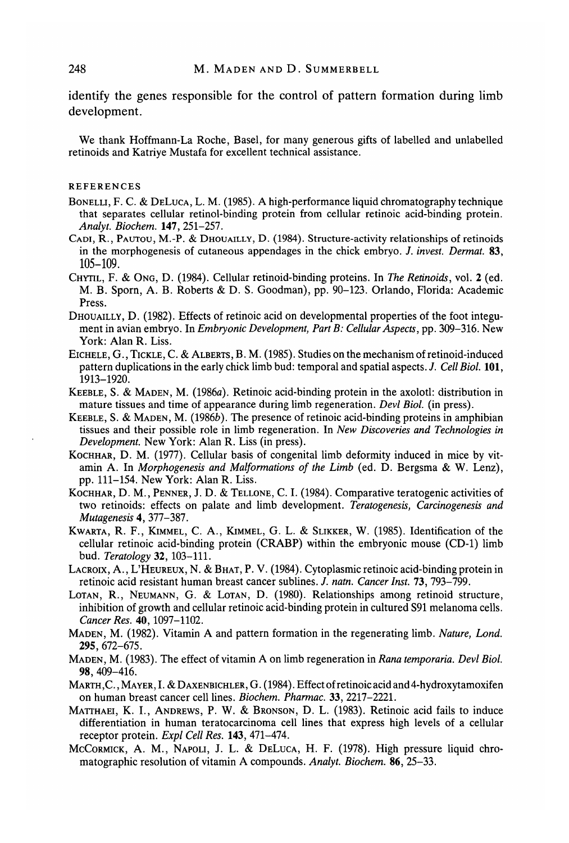identify the genes responsible for the control of pattern formation during limb development.

We thank Hoffmann-La Roche, Basel, for many generous gifts of labelled and unlabelled retinoids and Katriye Mustafa for excellent technical assistance.

#### REFERENCES

- BONELLI, F. C. & DELUCA, L. M. (1985). A high-performance liquid chromatography technique that separates cellular retinol-binding protein from cellular retinoic acid-binding protein. *Analyt. Biochem.* 147, 251-257.
- CADI, R., PAUTOU, M.-P. & DHOUAILLY, D. (1984). Structure-activity relationships of retinoids in the morphogenesis of cutaneous appendages in the chick embryo. *J. invest. Dermat.* 83, 105-109.
- CHYTIL, F. & ONG, D. (1984). Cellular retinoid-binding proteins. In *The Retinoids,* vol. 2 (ed. M. B. Sporn, A. B. Roberts & D. S. Goodman), pp. 90-123. Orlando, Florida: Academic Press.
- DHOUAILLY, D. (1982). Effects of retinoic acid on developmental properties of the foot integument in avian embryo. In *Embryonic Development, PartB: Cellular Aspects,* pp. 309-316. New York: Alan R. Liss.
- EICHELE, G., TICKLE, C. & ALBERTS, B. M. (1985). Studies on the mechanism of retinoid-induced pattern duplications in the early chick limb bud: temporal and spatial aspects. /. *CellBiol.* **101,** 1913-1920.
- KEEBLE, S. & MADEN, M. (1986a). Retinoic acid-binding protein in the axolotl: distribution in mature tissues and time of appearance during limb regeneration. *Devi Biol.* (in press).
- KEEBLE, S. & MADEN, M.  $(1986b)$ . The presence of retinoic acid-binding proteins in amphibian tissues and their possible role in limb regeneration. In *New Discoveries and Technologies in Development.* New York: Alan R. Liss (in press).
- KOCHHAR, D. M. (1977). Cellular basis of congenital limb deformity induced in mice by vitamin A. In *Morphogenesis and Malformations of the Limb* (ed. D. Bergsma & W. Lenz), pp. 111-154. New York: Alan R. Liss.
- KOCHHAR, D. M., PENNER, J. D. & TELLONE, C. I. (1984). Comparative teratogenic activities of two retinoids: effects on palate and limb development. *Teratogenesis, Carcinogenesis and Mutagenesis* 4, 377-387.
- KWARTA, R. F., KIMMEL, C. A., KIMMEL, G. L. & SLIKKER, W. (1985). Identification of the cellular retinoic acid-binding protein (CRABP) within the embryonic mouse (CD-I) limb bud. *Teratology* **32,** 103-111.
- LACROLX, A., L'HEUREUX, N. & BHAT, P. V. (1984). Cytoplasmic retinoic acid-binding protein in retinoic acid resistant human breast cancer sublines. /. *natn. Cancer Inst.* 73, 793-799.
- LOTAN, R., NEUMANN, G. & LOTAN, D. (1980). Relationships among retinoid structure, inhibition of growth and cellular retinoic acid-binding protein in cultured S91 melanoma cells. *Cancer Res.* **40,** 1097-1102.
- MADEN, M. (1982). Vitamin A and pattern formation in the regenerating limb. *Nature, Lond.* **295,** 672-675.
- MADEN, M. (1983). The effect of vitamin A on limb regeneration in *Rana temporaria. Devi Biol.* 98, 409-416.
- MARTH,C, MAYER, I. &DAXENBICHLER, G. (1984). Effect of retinoic acid and4-hydroxytamoxifen on human breast cancer cell lines. *Biochem. Pharmac.* **33,** 2217-2221.
- MATTHAEI, K. I., ANDREWS, P. W. & BRONSON, D. L. (1983). Retinoic acid fails to induce differentiation in human teratocarcinoma cell lines that express high levels of a cellular receptor protein. *Expl Cell Res.* **143,** 471-474.
- MCCORMICK, A. M., NAPOLI, J. L. & DELUCA, H. F. (1978). High pressure liquid chromatographic resolution of vitamin A compounds. *Analyt. Biochem.* 86, 25-33.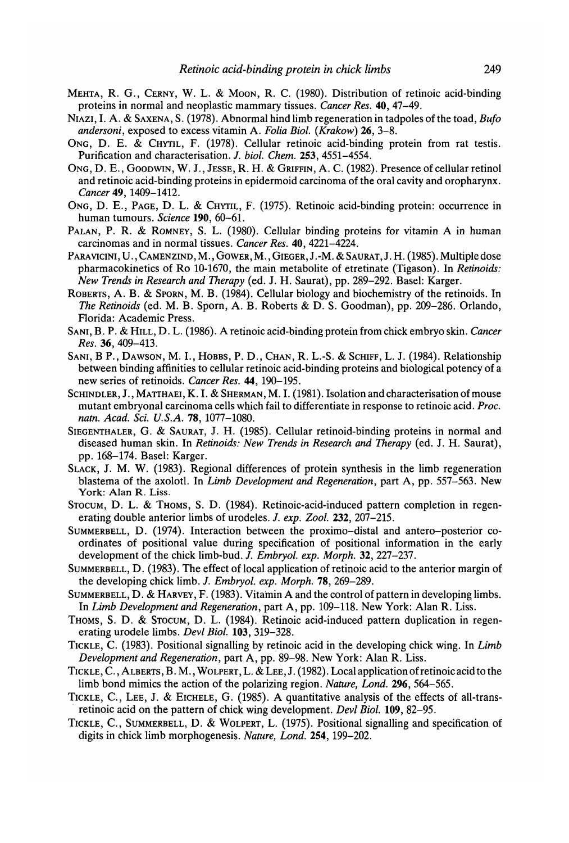- MEHTA, R. G., CERNY, W. L. & MOON, R. C. (1980). Distribution of retinoic acid-binding proteins in normal and neoplastic mammary tissues. *Cancer Res.* **40,** 47-49.
- NIAZI, I. A. & SAXENA, S. (1978). Abnormal hind limb regeneration in tadpoles of the toad, *Bufo andersoni,* exposed to excess vitamin A. *Folia Biol. (Krakow)* **26,** 3-8.
- ONG, D. E. & CHYTIL, F. (1978). Cellular retinoic acid-binding protein from rat testis. Purification and characterisation. /. *biol. Chem.* **253,** 4551-4554.
- ONG, D. E., GOODWIN, W. J., JESSE, R. H. & GRIFFIN, A. C. (1982). Presence of cellular retinol and retinoic acid-binding proteins in epidermoid carcinoma of the oral cavity and oropharynx. *Cancer* **49,** 1409-1412.
- ONG, D. E., PAGE, D. L. & CHYTIL, F. (1975). Retinoic acid-binding protein: occurrence in human tumours. *Science* **190,** 60-61.
- PALAN, P. R. & ROMNEY, S. L. (1980). Cellular binding proteins for vitamin A in human carcinomas and in normal tissues. *Cancer Res.* **40,** 4221-4224.
- PARAVICINI, U., CAMENZIND, M., GOWER, M., GIEGER, J.-M. &SAURAT, J. H. (1985). Multiple dose pharmacokinetics of Ro 10-1670, the main metabolite of etretinate (Tigason). In *Retinoids: New Trends in Research and Therapy* (ed. J. H. Saurat), pp. 289-292. Basel: Karger.
- ROBERTS, A. B. & SPORN, M. B. (1984). Cellular biology and biochemistry of the retinoids. In *The Retinoids* (ed. M. B. Sporn, A. B. Roberts & D. S. Goodman), pp. 209-286. Orlando, Florida: Academic Press.
- SANI, B. P. & HILL, D. L. (1986). A retinoic acid-binding protein from chick embryo skin. *Cancer Res.* **36,** 409-413.
- SANI, B P., DAWSON, M. I., HOBBS, P. D., CHAN, R. L.-S. & SCHIFF, L. J. (1984). Relationship between binding affinities to cellular retinoic acid-binding proteins and biological potency of a new series of retinoids. *Cancer Res.* **44,** 190-195.
- SCHINDLER, J., MATTHAEI, K. I. & SHERMAN, M. I. (1981). Isolation and characterisation of mouse mutant embryonal carcinoma cells which fail to differentiate in response to retinoic acid. *Proc. natn. Acad. Sci. U.S.A.* 78, 1077-1080.
- SIEGENTHALER, G. & SAURAT, J. H. (1985). Cellular retinoid-binding proteins in normal and diseased human skin. In *Retinoids: New Trends in Research and Therapy* (ed. J. H. Saurat), pp. 168-174. Basel: Karger.
- SLACK, J. M. W. (1983). Regional differences of protein synthesis in the limb regeneration blastema of the axolotl. In *Limb Development and Regeneration,* part A, pp. 557-563. New York: Alan R. Liss.
- STOCUM, D. L. & THOMS, S. D. (1984). Retinoic-acid-induced pattern completion in regenerating double anterior limbs of urodeles. /. *exp. Zool.* **232,** 207-215.
- SUMMERBELL, D. (1974). Interaction between the proximo-distal and antero-posterior coordinates of positional value during specification of positional information in the early development of the chick limb-bud. /. *Embryol. exp. Morph.* **32,** 227-237.
- SUMMERBELL, D. (1983). The effect of local application of retinoic acid to the anterior margin of the developing chick limb. /. *Embryol. exp. Morph.* 78, 269-289.
- SUMMERBELL, D. & HARVEY, F. (1983). Vitamin A and the control of pattern in developing limbs. In *Limb Development and Regeneration,* part A, pp. 109-118. New York: Alan R. Liss.
- THOMS, S. D. & STOCUM, D. L. (1984). Retinoic acid-induced pattern duplication in regenerating urodele limbs. *Devi Biol.* **103,** 319-328.
- TICKLE, C. (1983). Positional signalling by retinoic acid in the developing chick wing. In *Limb Development and Regeneration,* part A, pp. 89-98. New York: Alan R. Liss.
- TICKLE, C., ALBERTS, B. M., WOLPERT, L. & LEE, J. (1982). Local application of retinoic acid to the limb bond mimics the action of the polarizing region. *Nature, Lond.* **296,** 564-565.
- TICKLE, C, LEE, J. & EICHELE, G. (1985). A quantitative analysis of the effects of all-transretinoic acid on the pattern of chick wing development. *Devi Biol.* **109,** 82-95.
- TICKLE, C, SUMMERBELL, D. & WOLPERT, L. (1975). Positional signalling and specification of digits in chick limb morphogenesis. *Nature, Lond.* **254,**199-202.